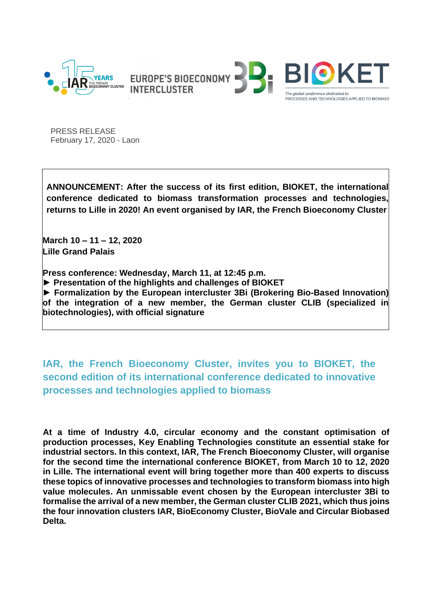

PRESS RELEASE February 17, 2020 - Laon

**ANNOUNCEMENT: After the success of its first edition, BIOKET, the international conference dedicated to biomass transformation processes and technologies, returns to Lille in 2020! An event organised by IAR, the French Bioeconomy Cluster**

**March 10 – 11 – 12, 2020 Lille Grand Palais**

**Press conference: Wednesday, March 11, at 12:45 p.m.**

**► Presentation of the highlights and challenges of BIOKET**

**► Formalization by the European intercluster 3Bi (Brokering Bio-Based Innovation) of the integration of a new member, the German cluster CLIB (specialized in biotechnologies), with official signature**

**IAR, the French Bioeconomy Cluster, invites you to BIOKET, the second edition of its international conference dedicated to innovative processes and technologies applied to biomass**

**At a time of Industry 4.0, circular economy and the constant optimisation of production processes, Key Enabling Technologies constitute an essential stake for industrial sectors. In this context, IAR, The French Bioeconomy Cluster, will organise for the second time the international conference BIOKET, from March 10 to 12, 2020 in Lille. The international event will bring together more than 400 experts to discuss these topics of innovative processes and technologies to transform biomass into high value molecules. An unmissable event chosen by the European intercluster 3Bi to formalise the arrival of a new member, the German cluster CLIB 2021, which thus joins the four innovation clusters IAR, BioEconomy Cluster, BioVale and Circular Biobased Delta.**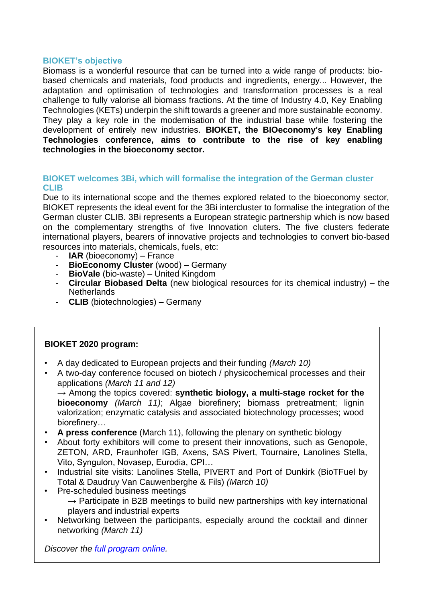## **BIOKET's objective**

Biomass is a wonderful resource that can be turned into a wide range of products: biobased chemicals and materials, food products and ingredients, energy... However, the adaptation and optimisation of technologies and transformation processes is a real challenge to fully valorise all biomass fractions. At the time of Industry 4.0, Key Enabling Technologies (KETs) underpin the shift towards a greener and more sustainable economy. They play a key role in the modernisation of the industrial base while fostering the development of entirely new industries. **BIOKET, the BIOeconomy's key Enabling Technologies conference, aims to contribute to the rise of key enabling technologies in the bioeconomy sector.**

## **BIOKET welcomes 3Bi, which will formalise the integration of the German cluster CLIB**

Due to its international scope and the themes explored related to the bioeconomy sector, BIOKET represents the ideal event for the 3Bi intercluster to formalise the integration of the German cluster CLIB. 3Bi represents a European strategic partnership which is now based on the complementary strengths of five Innovation cluters. The five clusters federate international players, bearers of innovative projects and technologies to convert bio-based resources into materials, chemicals, fuels, etc:

- **IAR** (bioeconomy) France
- **BioEconomy Cluster** (wood) Germany
- **BioVale** (bio-waste) United Kingdom
- **Circular Biobased Delta** (new biological resources for its chemical industry) the **Netherlands**
- **CLIB** (biotechnologies) Germany

# **BIOKET 2020 program:**

- A day dedicated to European projects and their funding *(March 10)*
- A two-day conference focused on biotech / physicochemical processes and their applications *(March 11 and 12)*

*→* Among the topics covered: **synthetic biology, a multi-stage rocket for the bioeconomy** *(March 11)*; Algae biorefinery; biomass pretreatment; lignin valorization; enzymatic catalysis and associated biotechnology processes; wood biorefinery…

- **A press conference** (March 11), following the plenary on synthetic biology
- About forty exhibitors will come to present their innovations, such as Genopole, ZETON, ARD, Fraunhofer IGB, Axens, SAS Pivert, Tournaire, Lanolines Stella, Vito, Syngulon, Novasep, Eurodia, CPI…
- Industrial site visits: Lanolines Stella, PIVERT and Port of Dunkirk (BioTFuel by Total & Daudruy Van Cauwenberghe & Fils) *(March 10)*
	- Pre-scheduled business meetings *→* Participate in B2B meetings to build new partnerships with key international players and industrial experts
- Networking between the participants, especially around the cocktail and dinner networking *(March 11)*

*Discover the [full program](https://bioket-2020.b2match.io/agenda) online.*